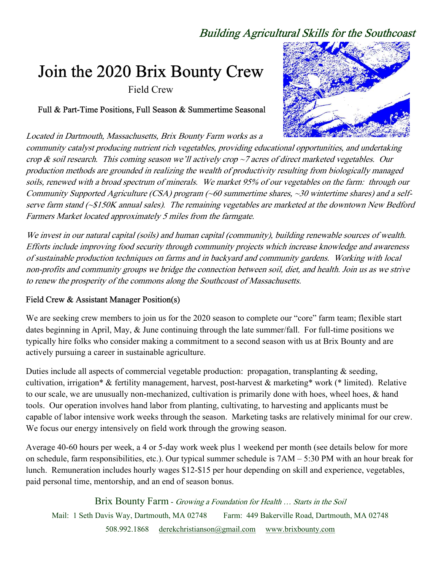# Building Agricultural Skills for the Southcoast

# Join the 2020 Brix Bounty Crew

Field Crew

Full & Part-Time Positions, Full Season & Summertime Seasonal

Located in Dartmouth, Massachusetts, Brix Bounty Farm works as a



community catalyst producing nutrient rich vegetables, providing educational opportunities, and undertaking crop & soil research. This coming season we'll actively crop  $\sim$  7 acres of direct marketed vegetables. Our production methods are grounded in realizing the wealth of productivity resulting from biologically managed soils, renewed with a broad spectrum of minerals. We market 95% of our vegetables on the farm: through our Community Supported Agriculture (CSA) program (~60 summertime shares, ~30 wintertime shares) and a selfserve farm stand (~\$150K annual sales). The remaining vegetables are marketed at the downtown New Bedford Farmers Market located approximately 5 miles from the farmgate.

We invest in our natural capital (soils) and human capital (community), building renewable sources of wealth. Efforts include improving food security through community projects which increase knowledge and awareness of sustainable production techniques on farms and in backyard and community gardens. Working with local non-profits and community groups we bridge the connection between soil, diet, and health. Join us as we strive to renew the prosperity of the commons along the Southcoast of Massachusetts.

#### Field Crew & Assistant Manager Position(s)

We are seeking crew members to join us for the 2020 season to complete our "core" farm team; flexible start dates beginning in April, May, & June continuing through the late summer/fall. For full-time positions we typically hire folks who consider making a commitment to a second season with us at Brix Bounty and are actively pursuing a career in sustainable agriculture.

Duties include all aspects of commercial vegetable production: propagation, transplanting & seeding, cultivation, irrigation\* & fertility management, harvest, post-harvest & marketing\* work (\* limited). Relative to our scale, we are unusually non-mechanized, cultivation is primarily done with hoes, wheel hoes, & hand tools. Our operation involves hand labor from planting, cultivating, to harvesting and applicants must be capable of labor intensive work weeks through the season. Marketing tasks are relatively minimal for our crew. We focus our energy intensively on field work through the growing season.

Average 40-60 hours per week, a 4 or 5-day work week plus 1 weekend per month (see details below for more on schedule, farm responsibilities, etc.). Our typical summer schedule is 7AM – 5:30 PM with an hour break for lunch. Remuneration includes hourly wages \$12-\$15 per hour depending on skill and experience, vegetables, paid personal time, mentorship, and an end of season bonus.

Brix Bounty Farm - Growing a Foundation for Health ... Starts in the Soil Mail: 1 Seth Davis Way, Dartmouth, MA 02748 Farm: 449 Bakerville Road, Dartmouth, MA 02748

508.992.1868 derekchristianson@gmail.com www.brixbounty.com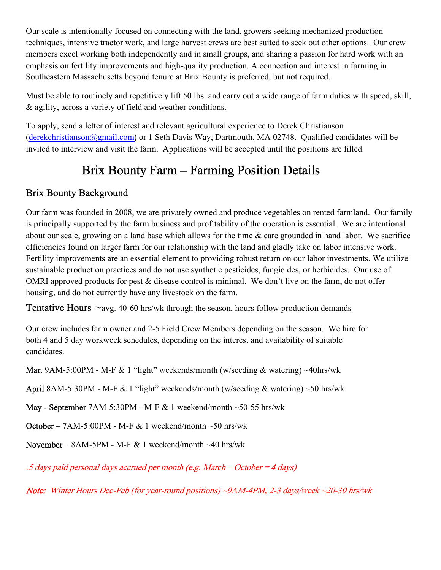Our scale is intentionally focused on connecting with the land, growers seeking mechanized production techniques, intensive tractor work, and large harvest crews are best suited to seek out other options. Our crew members excel working both independently and in small groups, and sharing a passion for hard work with an emphasis on fertility improvements and high-quality production. A connection and interest in farming in Southeastern Massachusetts beyond tenure at Brix Bounty is preferred, but not required.

Must be able to routinely and repetitively lift 50 lbs. and carry out a wide range of farm duties with speed, skill, & agility, across a variety of field and weather conditions.

To apply, send a letter of interest and relevant agricultural experience to Derek Christianson (derekchristianson@gmail.com) or 1 Seth Davis Way, Dartmouth, MA 02748. Qualified candidates will be invited to interview and visit the farm. Applications will be accepted until the positions are filled.

# Brix Bounty Farm – Farming Position Details

# Brix Bounty Background

Our farm was founded in 2008, we are privately owned and produce vegetables on rented farmland. Our family is principally supported by the farm business and profitability of the operation is essential. We are intentional about our scale, growing on a land base which allows for the time & care grounded in hand labor. We sacrifice efficiencies found on larger farm for our relationship with the land and gladly take on labor intensive work. Fertility improvements are an essential element to providing robust return on our labor investments. We utilize sustainable production practices and do not use synthetic pesticides, fungicides, or herbicides. Our use of OMRI approved products for pest & disease control is minimal. We don't live on the farm, do not offer housing, and do not currently have any livestock on the farm.

**Tentative Hours**  $\sim$ avg. 40-60 hrs/wk through the season, hours follow production demands

Our crew includes farm owner and 2-5 Field Crew Members depending on the season. We hire for both 4 and 5 day workweek schedules, depending on the interest and availability of suitable candidates.

**Mar.** 9AM-5:00PM - M-F & 1 "light" weekends/month (w/seeding & watering)  $\sim$ 40hrs/wk

April 8AM-5:30PM - M-F & 1 "light" weekends/month (w/seeding & watering)  $\sim$  50 hrs/wk

May - September 7AM-5:30PM - M-F & 1 weekend/month ~50-55 hrs/wk

**October** – 7AM-5:00PM - M-F  $\&$  1 weekend/month  $\sim$  50 hrs/wk

November – 8AM-5PM - M-F  $& 1$  weekend/month ~40 hrs/wk

.5 days paid personal days accrued per month (e.g. March – October =  $4$  days)

Note: Winter Hours Dec-Feb (for year-round positions) ~9AM-4PM, 2-3 days/week ~20-30 hrs/wk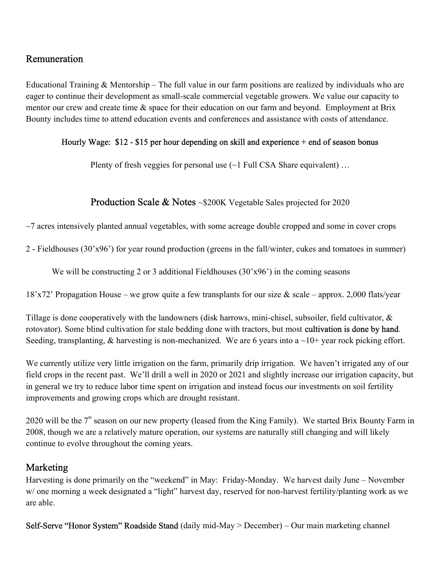### Remuneration

Educational Training  $\&$  Mentorship – The full value in our farm positions are realized by individuals who are eager to continue their development as small-scale commercial vegetable growers. We value our capacity to mentor our crew and create time  $\&$  space for their education on our farm and beyond. Employment at Brix Bounty includes time to attend education events and conferences and assistance with costs of attendance.

#### Hourly Wage: \$12 - \$15 per hour depending on skill and experience + end of season bonus

Plenty of fresh veggies for personal use  $(\sim]$  Full CSA Share equivalent) ...

#### **Production Scale & Notes** ~\$200K Vegetable Sales projected for 2020

 $\sim$ 7 acres intensively planted annual vegetables, with some acreage double cropped and some in cover crops

2 - Fieldhouses (30'x96') for year round production (greens in the fall/winter, cukes and tomatoes in summer)

We will be constructing 2 or 3 additional Fieldhouses (30'x96') in the coming seasons

 $18'x72'$  Propagation House – we grow quite a few transplants for our size & scale – approx. 2,000 flats/year

Tillage is done cooperatively with the landowners (disk harrows, mini-chisel, subsoiler, field cultivator,  $\&$ rotovator). Some blind cultivation for stale bedding done with tractors, but most cultivation is done by hand. Seeding, transplanting,  $\&$  harvesting is non-mechanized. We are 6 years into a  $\sim$ 10+ year rock picking effort.

We currently utilize very little irrigation on the farm, primarily drip irrigation. We haven't irrigated any of our field crops in the recent past. We'll drill a well in 2020 or 2021 and slightly increase our irrigation capacity, but in general we try to reduce labor time spent on irrigation and instead focus our investments on soil fertility improvements and growing crops which are drought resistant.

2020 will be the  $7<sup>th</sup>$  season on our new property (leased from the King Family). We started Brix Bounty Farm in 2008, though we are a relatively mature operation, our systems are naturally still changing and will likely continue to evolve throughout the coming years.

#### Marketing

Harvesting is done primarily on the "weekend" in May: Friday-Monday. We harvest daily June – November w/ one morning a week designated a "light" harvest day, reserved for non-harvest fertility/planting work as we are able.

Self-Serve "Honor System" Roadside Stand (daily mid-May > December) – Our main marketing channel